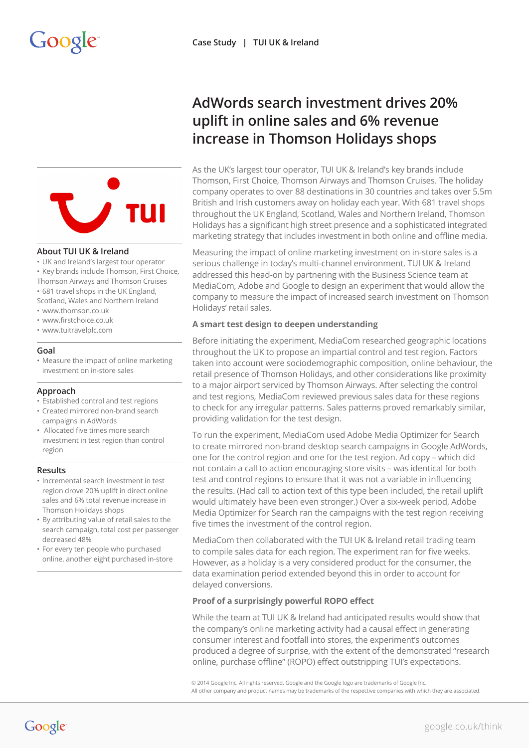

### **About TUI UK & Ireland**

- UK and Ireland's largest tour operator
- Key brands include Thomson, First Choice,
- Thomson Airways and Thomson Cruises
- 681 travel shops in the UK England,
- Scotland, Wales and Northern Ireland • www.thomson.co.uk
- www.firstchoice.co.uk
- www.tuitravelplc.com

### **Goal**

• Measure the impact of online marketing investment on in-store sales

### **Approach**

- Established control and test regions
- Created mirrored non-brand search campaigns in AdWords
- Allocated five times more search investment in test region than control region

### **Results**

- Incremental search investment in test region drove 20% uplift in direct online sales and 6% total revenue increase in Thomson Holidays shops
- By attributing value of retail sales to the search campaign, total cost per passenger decreased 48%
- For every ten people who purchased online, another eight purchased in-store

# **AdWords search investment drives 20% uplift in online sales and 6% revenue increase in Thomson Holidays shops**

As the UK's largest tour operator, TUI UK & Ireland's key brands include Thomson, First Choice, Thomson Airways and Thomson Cruises. The holiday company operates to over 88 destinations in 30 countries and takes over 5.5m British and Irish customers away on holiday each year. With 681 travel shops throughout the UK England, Scotland, Wales and Northern Ireland, Thomson Holidays has a significant high street presence and a sophisticated integrated marketing strategy that includes investment in both online and offline media.

Measuring the impact of online marketing investment on in-store sales is a serious challenge in today's multi-channel environment. TUI UK & Ireland addressed this head-on by partnering with the Business Science team at MediaCom, Adobe and Google to design an experiment that would allow the company to measure the impact of increased search investment on Thomson Holidays' retail sales.

## **A smart test design to deepen understanding**

Before initiating the experiment, MediaCom researched geographic locations throughout the UK to propose an impartial control and test region. Factors taken into account were sociodemographic composition, online behaviour, the retail presence of Thomson Holidays, and other considerations like proximity to a major airport serviced by Thomson Airways. After selecting the control and test regions, MediaCom reviewed previous sales data for these regions to check for any irregular patterns. Sales patterns proved remarkably similar, providing validation for the test design.

To run the experiment, MediaCom used Adobe Media Optimizer for Search to create mirrored non-brand desktop search campaigns in Google AdWords, one for the control region and one for the test region. Ad copy – which did not contain a call to action encouraging store visits – was identical for both test and control regions to ensure that it was not a variable in influencing the results. (Had call to action text of this type been included, the retail uplift would ultimately have been even stronger.) Over a six-week period, Adobe Media Optimizer for Search ran the campaigns with the test region receiving five times the investment of the control region.

MediaCom then collaborated with the TUI UK & Ireland retail trading team to compile sales data for each region. The experiment ran for five weeks. However, as a holiday is a very considered product for the consumer, the data examination period extended beyond this in order to account for delayed conversions.

## **Proof of a surprisingly powerful ROPO effect**

While the team at TUI UK & Ireland had anticipated results would show that the company's online marketing activity had a causal effect in generating consumer interest and footfall into stores, the experiment's outcomes produced a degree of surprise, with the extent of the demonstrated "research online, purchase offline" (ROPO) effect outstripping TUI's expectations.

© 2014 Google Inc. All rights reserved. Google and the Google logo are trademarks of Google Inc. All other company and product names may be trademarks of the respective companies with which they are associated.